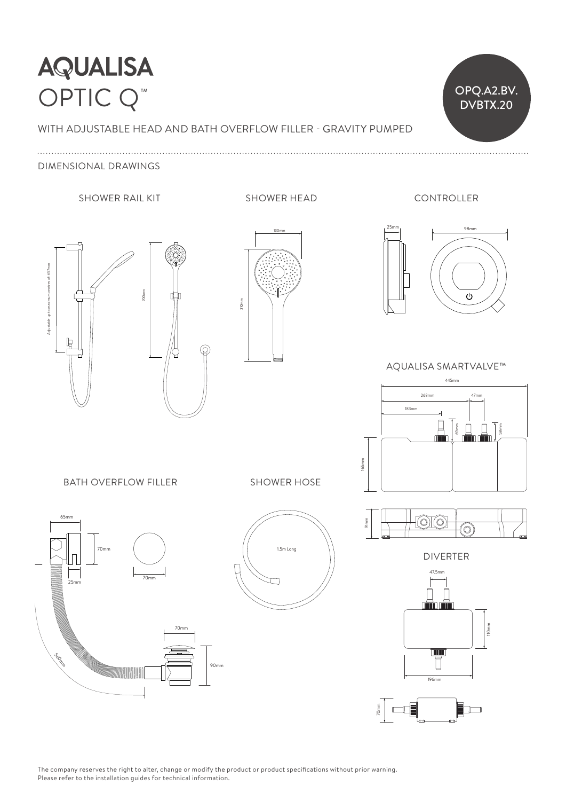## **AQUALISA** OPTIC Q<sup>™</sup> OPQ.A2.BV.

WITH ADJUSTABLE HEAD AND BATH OVERFLOW FILLER - GRAVITY PUMPED

DIMENSIONAL DRAWINGS

### SHOWER RAIL KIT
SHOWER RAIL KIT



CONTROLLER

OPQ.A2.BV.





25mm 98mm 47.5mm  $\sim$ Ď 152mm 80mm

AQUALISA SMARTVALVE™



**BATH OVERFLOW FILLER** 

SHOWER HOSE





 $\circ$   $\circ$ 91mm (O)  $-1$ 

DIVERTER



70mm

The company reserves the right to alter, change or modify the product or product specifications without prior warning. Please refer to the installation guides for technical information.